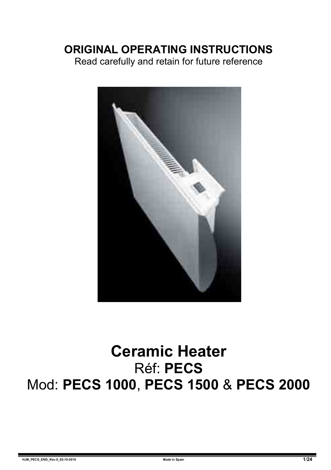## **ORIGINAL OPERATING INSTRUCTIONS**

Read carefully and retain for future reference



# **Ceramic Heater** Réf: **PECS** Mod: **PECS 1000**, **PECS 1500** & **PECS 2000**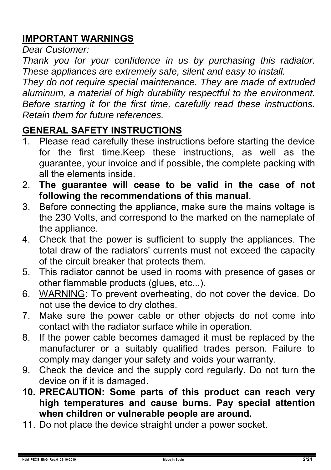## **IMPORTANT WARNINGS**

*Dear Customer:* 

*Thank you for your confidence in us by purchasing this radiator. These appliances are extremely safe, silent and easy to install.* 

*They do not require special maintenance. They are made of extruded aluminum, a material of high durability respectful to the environment. Before starting it for the first time, carefully read these instructions. Retain them for future references.* 

### **GENERAL SAFETY INSTRUCTIONS**

- 1. Please read carefully these instructions before starting the device for the first time.Keep these instructions, as well as the guarantee, your invoice and if possible, the complete packing with all the elements inside.
- 2. **The guarantee will cease to be valid in the case of not following the recommendations of this manual**.
- 3. Before connecting the appliance, make sure the mains voltage is the 230 Volts, and correspond to the marked on the nameplate of the appliance.
- 4. Check that the power is sufficient to supply the appliances. The total draw of the radiators' currents must not exceed the capacity of the circuit breaker that protects them.
- 5. This radiator cannot be used in rooms with presence of gases or other flammable products (glues, etc...).
- 6. WARNING: To prevent overheating, do not cover the device. Do not use the device to dry clothes.
- 7. Make sure the power cable or other objects do not come into contact with the radiator surface while in operation.
- 8. If the power cable becomes damaged it must be replaced by the manufacturer or a suitably qualified trades person. Failure to comply may danger your safety and voids your warranty.
- 9. Check the device and the supply cord regularly. Do not turn the device on if it is damaged.
- **10. PRECAUTION: Some parts of this product can reach very high temperatures and cause burns. Pay special attention when children or vulnerable people are around.**
- 11. Do not place the device straight under a power socket.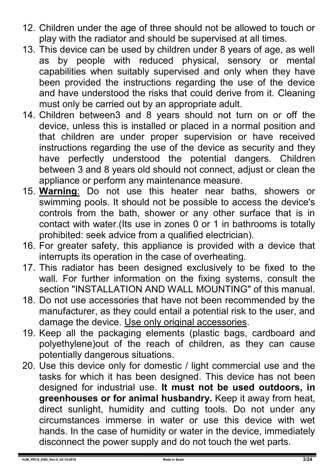- 12. Children under the age of three should not be allowed to touch or play with the radiator and should be supervised at all times.
- 13. This device can be used by children under 8 years of age, as well as by people with reduced physical, sensory or mental capabilities when suitably supervised and only when they have been provided the instructions regarding the use of the device and have understood the risks that could derive from it. Cleaning must only be carried out by an appropriate adult.
- 14. Children between3 and 8 years should not turn on or off the device, unless this is installed or placed in a normal position and that children are under proper supervision or have received instructions regarding the use of the device as security and they have perfectly understood the potential dangers. Children between 3 and 8 years old should not connect, adjust or clean the appliance or perform any maintenance measure.
- 15. **Warning**: Do not use this heater near baths, showers or swimming pools. It should not be possible to access the device's controls from the bath, shower or any other surface that is in contact with water.(Its use in zones 0 or 1 in bathrooms is totally prohibited: seek advice from a qualified electrician).
- 16. For greater safety, this appliance is provided with a device that interrupts its operation in the case of overheating.
- 17. This radiator has been designed exclusively to be fixed to the wall. For further information on the fixing systems, consult the section "INSTALLATION AND WALL MOUNTING" of this manual.
- 18. Do not use accessories that have not been recommended by the manufacturer, as they could entail a potential risk to the user, and damage the device. Use only original accessories.
- 19. Keep all the packaging elements (plastic bags, cardboard and polyethylene)out of the reach of children, as they can cause potentially dangerous situations.
- 20. Use this device only for domestic / light commercial use and the tasks for which it has been designed. This device has not been designed for industrial use. **It must not be used outdoors, in greenhouses or for animal husbandry.** Keep it away from heat, direct sunlight, humidity and cutting tools. Do not under any circumstances immerse in water or use this device with wet hands. In the case of humidity or water in the device, immediately disconnect the power supply and do not touch the wet parts.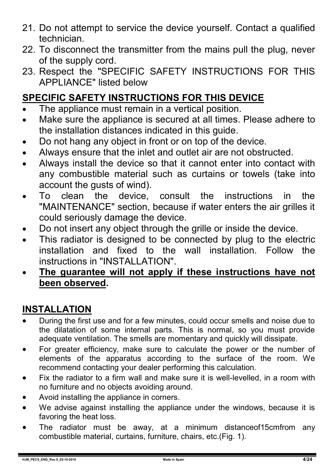- 21. Do not attempt to service the device yourself. Contact a qualified technician.
- 22. To disconnect the transmitter from the mains pull the plug, never of the supply cord.
- 23. Respect the "SPECIFIC SAFETY INSTRUCTIONS FOR THIS APPLIANCE" listed below

## **SPECIFIC SAFETY INSTRUCTIONS FOR THIS DEVICE**

- The appliance must remain in a vertical position.
- Make sure the appliance is secured at all times. Please adhere to the installation distances indicated in this guide.
- Do not hang any object in front or on top of the device.
- Always ensure that the inlet and outlet air are not obstructed.
- Always install the device so that it cannot enter into contact with any combustible material such as curtains or towels (take into account the gusts of wind).
- To clean the device, consult the instructions in the "MAINTENANCE" section, because if water enters the air grilles it could seriously damage the device.
- Do not insert any object through the grille or inside the device.
- This radiator is designed to be connected by plug to the electric installation and fixed to the wall installation. Follow the instructions in "INSTALLATION"
- **The guarantee will not apply if these instructions have not been observed.**

### **INSTALLATION**

- During the first use and for a few minutes, could occur smells and noise due to the dilatation of some internal parts. This is normal, so you must provide adequate ventilation. The smells are momentary and quickly will dissipate.
- For greater efficiency, make sure to calculate the power or the number of elements of the apparatus according to the surface of the room. We recommend contacting your dealer performing this calculation.
- Fix the radiator to a firm wall and make sure it is well-levelled, in a room with no furniture and no objects avoiding around.
- Avoid installing the appliance in corners.
- We advise against installing the appliance under the windows, because it is favoring the heat loss.
- The radiator must be away, at a minimum distanceof15cmfrom any combustible material, curtains, furniture, chairs, etc.(Fig. 1).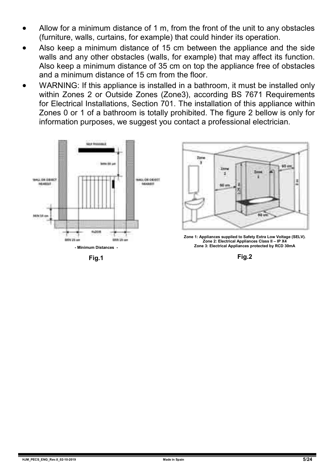- Allow for a minimum distance of 1 m, from the front of the unit to any obstacles (furniture, walls, curtains, for example) that could hinder its operation.
- Also keep a minimum distance of 15 cm between the appliance and the side walls and any other obstacles (walls, for example) that may affect its function. Also keep a minimum distance of 35 cm on top the appliance free of obstacles and a minimum distance of 15 cm from the floor.
- WARNING: If this appliance is installed in a bathroom, it must be installed only within Zones 2 or Outside Zones (Zone3), according BS 7671 Requirements for Electrical Installations, Section 701. The installation of this appliance within Zones 0 or 1 of a bathroom is totally prohibited. The figure 2 bellow is only for information purposes, we suggest you contact a professional electrician.



**Fig.1**



**Zone 1: Appliances supplied to Safety Extra Low Voltage (SELV). Zone 2: Electrical Appliances Class II – IP X4 Zone 3: Electrical Appliances protected by RCD 30mA**

**Fig.2**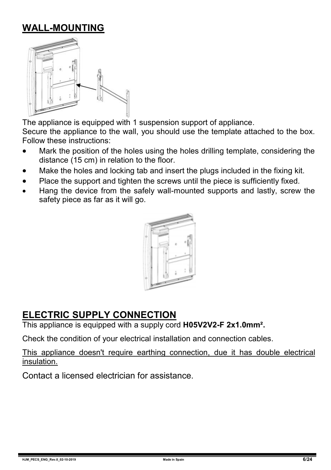## **WALL-MOUNTING**



The appliance is equipped with 1 suspension support of appliance. Secure the appliance to the wall, you should use the template attached to the box. Follow these instructions:

- Mark the position of the holes using the holes drilling template, considering the distance (15 cm) in relation to the floor.
- Make the holes and locking tab and insert the plugs included in the fixing kit.
- Place the support and tighten the screws until the piece is sufficiently fixed.
- Hang the device from the safely wall-mounted supports and lastly, screw the safety piece as far as it will go.



#### **ELECTRIC SUPPLY CONNECTION**

This appliance is equipped with a supply cord **H05V2V2-F 2x1.0mm².**

Check the condition of your electrical installation and connection cables.

This appliance doesn't require earthing connection, due it has double electrical insulation.

Contact a licensed electrician for assistance.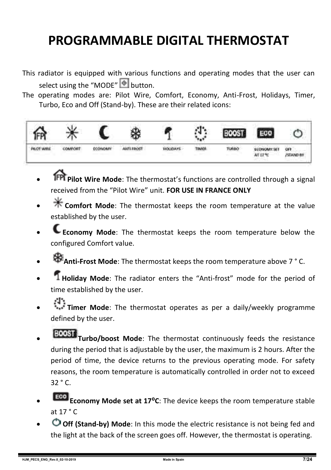## **PROGRAMMABLE DIGITAL THERMOSTAT**

- This radiator is equipped with various functions and operating modes that the user can select using the "MODE"  $\bullet$  button.
- The operating modes are: Pilot Wire, Comfort, Economy, Anti-Frost, Holidays, Timer, Turbo, Eco and Off (Stand-by). These are their related icons:



- **Pilot Wire Mode**: The thermostat's functions are controlled through a signal received from the "Pilot Wire" unit. **FOR USE IN FRANCE ONLY**
- **Comfort Mode**: The thermostat keeps the room temperature at the value established by the user.
- **Economy Mode**: The thermostat keeps the room temperature below the configured Comfort value.
- **Anti-Frost Mode**: The thermostat keeps the room temperature above 7 ° C.
- **Holiday Mode**: The radiator enters the "Anti-frost" mode for the period of time established by the user.
- **Timer Mode**: The thermostat operates as per a daily/weekly programme defined by the user.
- **TOOST** Turbo/boost Mode: The thermostat continuously feeds the resistance during the period that is adjustable by the user, the maximum is 2 hours. After the period of time, the device returns to the previous operating mode. For safety reasons, the room temperature is automatically controlled in order not to exceed 32 ° C.
- **Eco Economy Mode set at 17°C**: The device keeps the room temperature stable at  $17 °C$
- **Off (Stand-by) Mode**: In this mode the electric resistance is not being fed and the light at the back of the screen goes off. However, the thermostat is operating.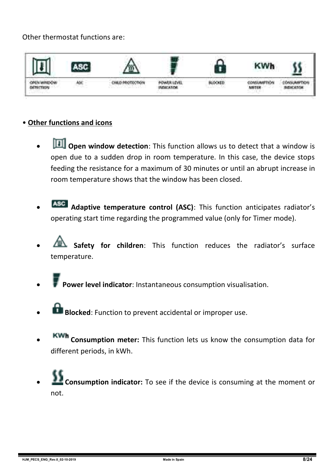#### Other thermostat functions are:



#### • **Other functions and icons**

- **TH** Open window detection: This function allows us to detect that a window is open due to a sudden drop in room temperature. In this case, the device stops feeding the resistance for a maximum of 30 minutes or until an abrupt increase in room temperature shows that the window has been closed.
- **Adaptive temperature control (ASC)**: This function anticipates radiator's operating start time regarding the programmed value (only for Timer mode).
- **Safety for children**: This function reduces the radiator's surface temperature.
- **Power level indicator**: Instantaneous consumption visualisation.
- **Blocked:** Function to prevent accidental or improper use.
- **Consumption meter:** This function lets us know the consumption data for different periods, in kWh.
- **Consumption indicator:** To see if the device is consuming at the moment or not.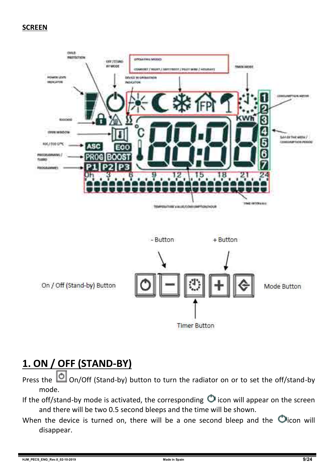#### **SCREEN**



**Timer Button** 

## **1. ON / OFF (STAND-BY)**

Press the  $\Box$  On/Off (Stand-by) button to turn the radiator on or to set the off/stand-by mode.

- If the off/stand-by mode is activated, the corresponding  $\bigcirc$  icon will appear on the screen and there will be two 0.5 second bleeps and the time will be shown.
- When the device is turned on, there will be a one second bleep and the  $\bigcirc$  icon will disappear.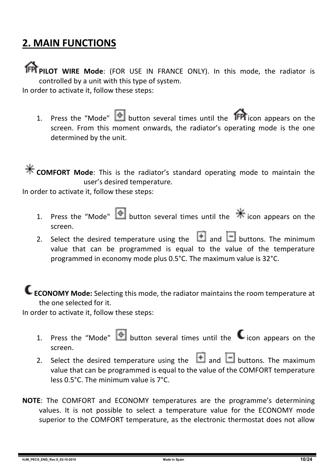## **2. MAIN FUNCTIONS**

**PPI PILOT WIRE Mode:** (FOR USE IN FRANCE ONLY). In this mode, the radiator is controlled by a unit with this type of system.

In order to activate it, follow these steps:

1. Press the "Mode"  $\bullet$  button several times until the **IFPI** icon appears on the screen. From this moment onwards, the radiator's operating mode is the one determined by the unit.

**K** COMFORT Mode: This is the radiator's standard operating mode to maintain the user's desired temperature.

In order to activate it, follow these steps:

- 1. Press the "Mode" **button several times until the**  $*$  **icon appears on the** screen.
- 2. Select the desired temperature using the  $\Box$  and  $\Box$  buttons. The minimum value that can be programmed is equal to the value of the temperature programmed in economy mode plus 0.5°C. The maximum value is 32°C.

**ECONOMY Mode:** Selecting this mode, the radiator maintains the room temperature at the one selected for it.

In order to activate it, follow these steps:

- 1. Press the "Mode"  $\bigcirc$  button several times until the  $\bigcirc$  icon appears on the screen.
- 2. Select the desired temperature using the  $\Box$  and  $\Box$  buttons. The maximum value that can be programmed is equal to the value of the COMFORT temperature less 0.5°C. The minimum value is 7°C.
- **NOTE**: The COMFORT and ECONOMY temperatures are the programme's determining values. It is not possible to select a temperature value for the ECONOMY mode superior to the COMFORT temperature, as the electronic thermostat does not allow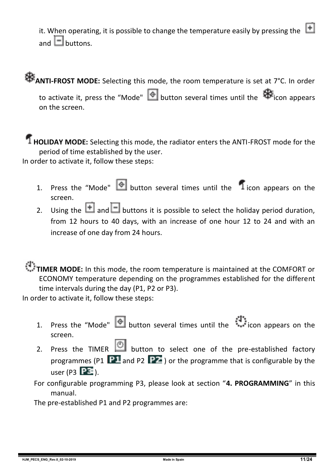it. When operating, it is possible to change the temperature easily by pressing the  $\Box$ and  $\Box$  buttons.

# **ANTI-FROST MODE:** Selecting this mode, the room temperature is set at 7°C. In order

to activate it, press the "Mode"  $\bigcirc$  button several times until the  $\bigcirc$  icon appears on the screen.

#### **HOLIDAY MODE:** Selecting this mode, the radiator enters the ANTI-FROST mode for the period of time established by the user.

In order to activate it, follow these steps:

- 1. Press the "Mode"  $\bigcirc$  button several times until the  $\bigcirc$  icon appears on the screen.
- 2. Using the **and B** buttons it is possible to select the holiday period duration, from 12 hours to 40 days, with an increase of one hour 12 to 24 and with an increase of one day from 24 hours.

### **TIMER MODE:** In this mode, the room temperature is maintained at the COMFORT or ECONOMY temperature depending on the programmes established for the different

time intervals during the day (P1, P2 or P3).

In order to activate it, follow these steps:

- 1. Press the "Mode" button several times until the icon appears on the screen.
- 2. Press the TIMER  $\bigcirc$  button to select one of the pre-established factory programmes (P1  $\overline{P1}$  and P2  $\overline{P2}$ ) or the programme that is configurable by the user (P3  $\overline{PE}$ ).

For configurable programming P3, please look at section "**4. PROGRAMMING**" in this manual.

The pre-established P1 and P2 programmes are: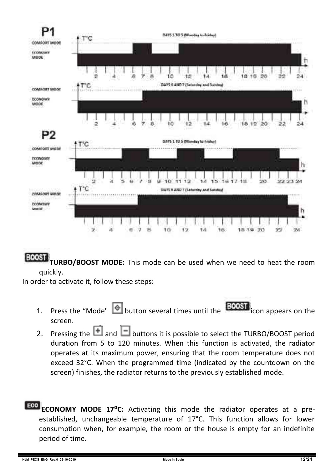

**BOOST TURBO/BOOST MODE:** This mode can be used when we need to heat the room quickly.

In order to activate it, follow these steps:

- 1. Press the "Mode"  $\bigcirc$  button several times until the **BOOST** icon appears on the screen.
- 2. Pressing the  $\Box$  and  $\Box$  buttons it is possible to select the TURBO/BOOST period duration from 5 to 120 minutes. When this function is activated, the radiator operates at its maximum power, ensuring that the room temperature does not exceed 32°C. When the programmed time (indicated by the countdown on the screen) finishes, the radiator returns to the previously established mode.
- **ECONOMY MODE 17°C:** Activating this mode the radiator operates at a preestablished, unchangeable temperature of 17°C. This function allows for lower consumption when, for example, the room or the house is empty for an indefinite period of time.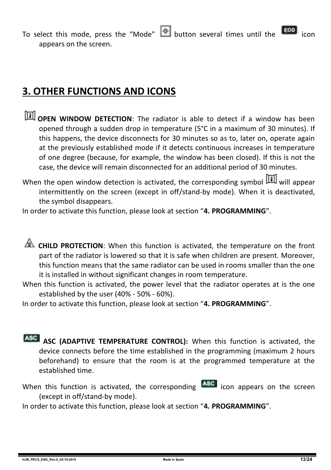To select this mode, press the "Mode"  $\bigcirc$  button several times until the  $\bigcirc$ appears on the screen.

## **3. OTHER FUNCTIONS AND ICONS**

- **TH** OPEN WINDOW DETECTION: The radiator is able to detect if a window has been opened through a sudden drop in temperature (5°C in a maximum of 30 minutes). If this happens, the device disconnects for 30 minutes so as to, later on, operate again at the previously established mode if it detects continuous increases in temperature of one degree (because, for example, the window has been closed). If this is not the case, the device will remain disconnected for an additional period of 30 minutes.
- When the open window detection is activated, the corresponding symbol  $\boxed{1}$  will appear intermittently on the screen (except in off/stand-by mode). When it is deactivated, the symbol disappears.

In order to activate this function, please look at section "**4. PROGRAMMING**".

**CHILD PROTECTION:** When this function is activated, the temperature on the front part of the radiator is lowered so that it is safe when children are present. Moreover, this function means that the same radiator can be used in rooms smaller than the one it is installed in without significant changes in room temperature.

When this function is activated, the power level that the radiator operates at is the one established by the user (40% - 50% - 60%).

In order to activate this function, please look at section "**4. PROGRAMMING**".

- **ASC (ADAPTIVE TEMPERATURE CONTROL):** When this function is activated, the device connects before the time established in the programming (maximum 2 hours beforehand) to ensure that the room is at the programmed temperature at the established time.
- When this function is activated, the corresponding **ASC** icon appears on the screen (except in off/stand-by mode).

In order to activate this function, please look at section "**4. PROGRAMMING**".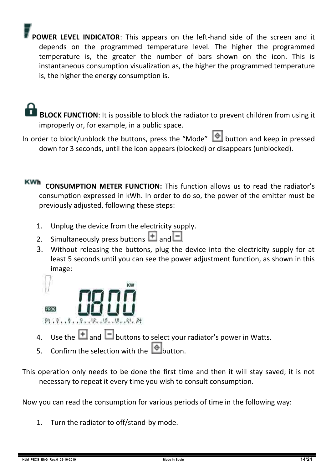**POWER LEVEL INDICATOR**: This appears on the left-hand side of the screen and it depends on the programmed temperature level. The higher the programmed temperature is, the greater the number of bars shown on the icon. This is instantaneous consumption visualization as, the higher the programmed temperature is, the higher the energy consumption is.

 **BLOCK FUNCTION**: It is possible to block the radiator to prevent children from using it improperly or, for example, in a public space.

In order to block/unblock the buttons, press the "Mode" **Consumersion** and keep in pressed down for 3 seconds, until the icon appears (blocked) or disappears (unblocked).

**KWh CONSUMPTION METER FUNCTION:** This function allows us to read the radiator's consumption expressed in kWh. In order to do so, the power of the emitter must be previously adjusted, following these steps:

- 1. Unplug the device from the electricity supply.
- 2. Simultaneously press buttons  $\overline{+}$  and  $\overline{-}$
- 3. Without releasing the buttons, plug the device into the electricity supply for at least 5 seconds until you can see the power adjustment function, as shown in this image:



- 4. Use the  $\Box$  and  $\Box$  buttons to select your radiator's power in Watts.
- 5. Confirm the selection with the **button**.
- This operation only needs to be done the first time and then it will stay saved; it is not necessary to repeat it every time you wish to consult consumption.

Now you can read the consumption for various periods of time in the following way:

1. Turn the radiator to off/stand-by mode.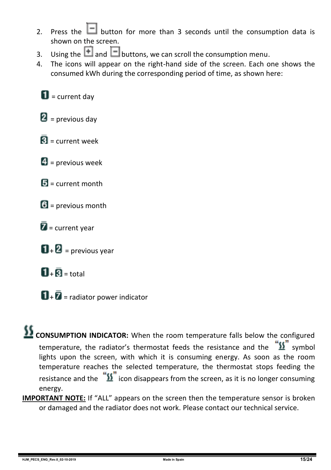- 2. Press the  $\Box$  button for more than 3 seconds until the consumption data is shown on the screen.
- 3. Using the **1** and **b**uttons, we can scroll the consumption menu.<br>4. The icons will annear on the right-hand side of the screen. Each o
- 4. The icons will appear on the right-hand side of the screen. Each one shows the consumed kWh during the corresponding period of time, as shown here:

 $\blacksquare$  = current day

 $\mathbf{2}$  = previous day

- $\overline{\mathbf{R}}$  = current week
- $\blacksquare$  = previous week
- $\mathbf{E}$  = current month
- $6$  = previous month
- $\bar{Z}$  = current year
- $\mathbf{D}$  +  $\mathbf{D}$  = previous year
- $\overline{\mathbf{H}}$  +  $\overline{\mathbf{B}}$  = total
- $\mathbf{u}$  +  $\bar{\mathbf{z}}$  = radiator power indicator

#### **CONSUMPTION INDICATOR:** When the room temperature falls below the configured temperature, the radiator's thermostat feeds the resistance and the  $\frac{\sqrt{3}}{2}$  symbol lights upon the screen, with which it is consuming energy. As soon as the room temperature reaches the selected temperature, the thermostat stops feeding the resistance and the  $\sqrt[12]{\text{}}\,$  icon disappears from the screen, as it is no longer consuming energy.

**IMPORTANT NOTE:** If "ALL" appears on the screen then the temperature sensor is broken or damaged and the radiator does not work. Please contact our technical service.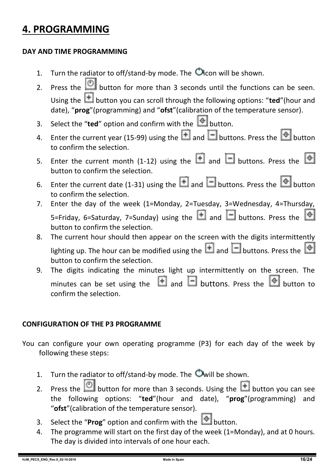## **4. PROGRAMMING**

#### **DAY AND TIME PROGRAMMING**

- 1. Turn the radiator to off/stand-by mode. The  $\bullet$  icon will be shown.
- 2. Press the  $\Box$  button for more than 3 seconds until the functions can be seen. Using the **the button you can scroll through the following options: "ted"**(hour and date), "**prog**"(programming) and "**ofst**"(calibration of the temperature sensor).
- 3. Select the "**ted**" option and confirm with the  $\Box$  button.
- 4. Enter the current year (15-99) using the  $\Box$  and  $\Box$  buttons. Press the  $\degree$  button to confirm the selection.
- 5. Enter the current month (1-12) using the  $\Box$  and  $\Box$  buttons. Press the  $\circ$ button to confirm the selection.
- 6. Enter the current date (1-31) using the  $\Box$  and  $\Box$  buttons. Press the  $\bigcirc$  button to confirm the selection.
- 7. Enter the day of the week (1=Monday, 2=Tuesday, 3=Wednesday, 4=Thursday, 5=Friday, 6=Saturday, 7=Sunday) using the  $\Box$  and  $\Box$  buttons. Press the button to confirm the selection.
- 8. The current hour should then appear on the screen with the digits intermittently lighting up. The hour can be modified using the  $\Box$  and  $\Box$  buttons. Press the  $\Diamond$ button to confirm the selection.
- 9. The digits indicating the minutes light up intermittently on the screen. The minutes can be set using the  $\Box$  and  $\Box$  buttons. Press the  $\Diamond$  button to confirm the selection.

#### **CONFIGURATION OF THE P3 PROGRAMME**

- You can configure your own operating programme (P3) for each day of the week by following these steps:
	- 1. Turn the radiator to off/stand-by mode. The  $\bullet$  will be shown.
	- 2. Press the **button for more than 3 seconds.** Using the **button you can see** the following options: "**ted**"(hour and date), "**prog**"(programming) and "**ofst**"(calibration of the temperature sensor).
	- 3. Select the "**Prog**" option and confirm with the  $\bullet$  button.
	- 4. The programme will start on the first day of the week (1=Monday), and at 0 hours. The day is divided into intervals of one hour each.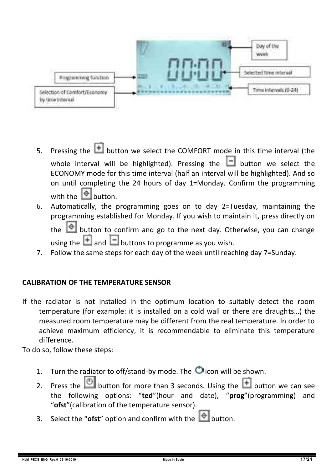

- 5. Pressing the  $\Box$  button we select the COMFORT mode in this time interval (the whole interval will be highlighted). Pressing the  $\Box$  button we select the ECONOMY mode for this time interval (half an interval will be highlighted). And so on until completing the 24 hours of day 1=Monday. Confirm the programming with the  $\Box$  button.
- 6. Automatically, the programming goes on to day 2=Tuesday, maintaining the programming established for Monday. If you wish to maintain it, press directly on the  $\Box$  button to confirm and go to the next day. Otherwise, you can change

using the  $\Box$  and  $\Box$  buttons to programme as you wish.

7. Follow the same steps for each day of the week until reaching day 7=Sunday.

#### **CALIBRATION OF THE TEMPERATURE SENSOR**

If the radiator is not installed in the optimum location to suitably detect the room temperature (for example: it is installed on a cold wall or there are draughts…) the measured room temperature may be different from the real temperature. In order to achieve maximum efficiency, it is recommendable to eliminate this temperature difference.

To do so, follow these steps:

- 1. Turn the radiator to off/stand-by mode. The  $\bigcirc$  icon will be shown.
- 2. Press the  $\Box$  button for more than 3 seconds. Using the  $\Box$  button we can see the following options: "**ted**"(hour and date), "**prog**"(programming) and "**ofst**"(calibration of the temperature sensor).
- 3. Select the "**ofst**" option and confirm with the  $\Box$  button.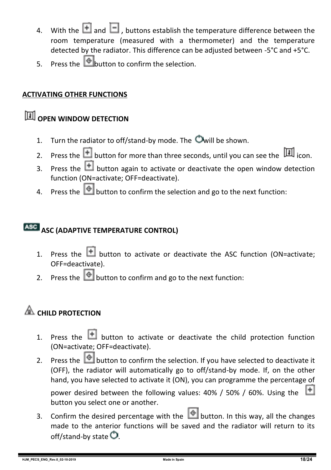- 4. With the  $\blacksquare$  and  $\blacksquare$  , buttons establish the temperature difference between the room temperature (measured with a thermometer) and the temperature detected by the radiator. This difference can be adjusted between -5°C and +5°C.
- $\frac{1}{5}$  Press the **button** to confirm the selection.

#### **ACTIVATING OTHER FUNCTIONS**

## **<u><b>OPEN WINDOW DETECTION**</u>

- 1. Turn the radiator to off/stand-by mode. The  $\bullet$  will be shown.
- 2. Press the **button for more than three seconds, until you can see the** icon.
- 3. Press the  $\Box$  button again to activate or deactivate the open window detection function (ON=activate; OFF=deactivate).
- 4. Press the **button to confirm the selection and go to the next function:**

#### **ASC (ADAPTIVE TEMPERATURE CONTROL)**

- 1. Press the  $\Box$  button to activate or deactivate the ASC function (ON=activate: OFF=deactivate).
- 2. Press the  $\Box$  button to confirm and go to the next function:

## **EXAMPLE PROTECTION**

- 1. Press the  $\blacksquare$  button to activate or deactivate the child protection function (ON=activate; OFF=deactivate).
- 2. Press the  $\bigcirc$  button to confirm the selection. If you have selected to deactivate it (OFF), the radiator will automatically go to off/stand-by mode. If, on the other hand, you have selected to activate it (ON), you can programme the percentage of

power desired between the following values: 40% / 50% / 60%. Using the button you select one or another.

3. Confirm the desired percentage with the **button.** In this way, all the changes made to the anterior functions will be saved and the radiator will return to its off/stand-by state  $\bullet$ .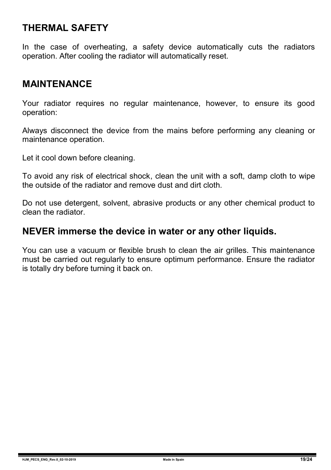#### **THERMAL SAFETY**

In the case of overheating, a safety device automatically cuts the radiators operation. After cooling the radiator will automatically reset.

#### **MAINTENANCE**

Your radiator requires no regular maintenance, however, to ensure its good operation:

Always disconnect the device from the mains before performing any cleaning or maintenance operation.

Let it cool down before cleaning.

To avoid any risk of electrical shock, clean the unit with a soft, damp cloth to wipe the outside of the radiator and remove dust and dirt cloth.

Do not use detergent, solvent, abrasive products or any other chemical product to clean the radiator.

#### **NEVER immerse the device in water or any other liquids.**

You can use a vacuum or flexible brush to clean the air grilles. This maintenance must be carried out regularly to ensure optimum performance. Ensure the radiator is totally dry before turning it back on.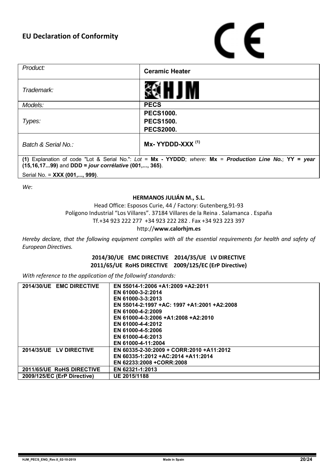# ( F

| Product:                                                                                                                                                         | <b>Ceramic Heater</b>           |  |  |  |  |
|------------------------------------------------------------------------------------------------------------------------------------------------------------------|---------------------------------|--|--|--|--|
| Trademark:                                                                                                                                                       |                                 |  |  |  |  |
| Models:                                                                                                                                                          | <b>PECS</b>                     |  |  |  |  |
| Types:                                                                                                                                                           | <b>PECS1000.</b>                |  |  |  |  |
|                                                                                                                                                                  | <b>PECS1500.</b>                |  |  |  |  |
|                                                                                                                                                                  | <b>PECS2000.</b>                |  |  |  |  |
| Batch & Serial No.:                                                                                                                                              | $Mx$ - YYDDD-XXX <sup>(1)</sup> |  |  |  |  |
| (1) Explanation of code "Lot & Serial No.": Lot = Mx - YYDDD; where: Mx = Production Line No.; YY = year<br>(15,16,1799) and DDD = jour corrélative (001,, 365). |                                 |  |  |  |  |
| Serial No. = XXX (001,, 999).                                                                                                                                    |                                 |  |  |  |  |

*We*:

#### **HERMANOS JULIÁN M., S.L.**

Head Office: Esposos Curie, 44 / Factory: Gutenberg,91-93 Polígono Industrial "Los Villares". 37184 Villares de la Reina . Salamanca . España Tf.+34 923 222 277 +34 923 222 282 . Fax +34 923 223 397 http://**www.calorhjm.es**

*Hereby declare, that the following equipment complies with all the essential requirements for health and safety of European Directives.*

#### **2014/30/UE EMC DIRECTIVE 2014/35/UE LV DIRECTIVE 2011/65/UE RoHS DIRECTIVE 2009/125/EC (ErP Directive)**

*With reference to the application of the followinf standards:*

| 2014/30/UE EMC DIRECTIVE    | EN 55014-1:2006 +A1:2009 +A2:2011           |
|-----------------------------|---------------------------------------------|
|                             | EN 61000-3-2:2014                           |
|                             | EN 61000-3-3:2013                           |
|                             | EN 55014-2:1997 +AC: 1997 +A1:2001 +A2:2008 |
|                             | EN 61000-4-2:2009                           |
|                             | EN 61000-4-3:2006 +A1:2008 +A2:2010         |
|                             | EN 61000-4-4:2012                           |
|                             | EN 61000-4-5:2006                           |
|                             | EN 61000-4-6:2013                           |
|                             | EN 61000-4-11:2004                          |
| 2014/35/UE LV DIRECTIVE     | EN 60335-2-30:2009 + CORR:2010 +A11:2012    |
|                             | EN 60335-1:2012 +AC:2014 +A11:2014          |
|                             | EN 62233:2008 +CORR:2008                    |
| 2011/65/UE RoHS DIRECTIVE   | EN 62321-1:2013                             |
| 2009/125/EC (ErP Directive) | UE 2015/1188                                |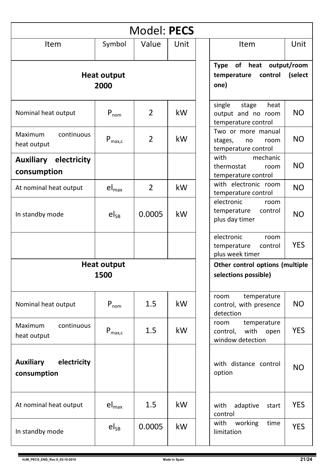| Model: PECS                                    |                    |                |                                                         |                                                                                       |  |  |  |  |  |  |
|------------------------------------------------|--------------------|----------------|---------------------------------------------------------|---------------------------------------------------------------------------------------|--|--|--|--|--|--|
| Item                                           | Symbol             | Value          | Unit                                                    | Unit<br><b>Item</b>                                                                   |  |  |  |  |  |  |
| <b>Heat output</b><br>2000                     |                    |                |                                                         | <b>Type</b><br>of<br>heat<br>output/room<br>temperature<br>control<br>(select<br>one) |  |  |  |  |  |  |
| Nominal heat output                            | $P_{nom}$          | 2              | kW                                                      | single<br>stage<br>heat<br>NO.<br>output and no room<br>temperature control           |  |  |  |  |  |  |
| continuous<br>Maximum<br>heat output           | $P_{\text{max},c}$ | 2              | kW                                                      | Two or more manual<br>NO.<br>stages,<br>no<br>room<br>temperature control             |  |  |  |  |  |  |
| <b>Auxiliary electricity</b><br>consumption    |                    |                |                                                         | with<br>mechanic<br><b>NO</b><br>thermostat<br>room<br>temperature control            |  |  |  |  |  |  |
| At nominal heat output                         | $el_{\text{max}}$  | $\overline{2}$ | kW                                                      | with electronic room<br><b>NO</b><br>temperature control                              |  |  |  |  |  |  |
| In standby mode                                | $el_{SB}$          | 0.0005         | kW                                                      | electronic<br>room<br>temperature<br>control<br><b>NO</b><br>plus day timer           |  |  |  |  |  |  |
|                                                |                    |                |                                                         | electronic<br>room<br><b>YES</b><br>temperature<br>control<br>plus week timer         |  |  |  |  |  |  |
| <b>Heat output</b><br>1500                     |                    |                | Other control options (multiple<br>selections possible) |                                                                                       |  |  |  |  |  |  |
| Nominal heat output                            | $P_{nom}$          | 1.5            | kW                                                      | temperature<br>room<br><b>NO</b><br>control, with presence<br>detection               |  |  |  |  |  |  |
| Maximum<br>continuous<br>heat output           | $P_{\text{max},c}$ | 1.5            | kW                                                      | room<br>temperature<br><b>YES</b><br>control,<br>with<br>open<br>window detection     |  |  |  |  |  |  |
| electricity<br><b>Auxiliary</b><br>consumption |                    |                |                                                         | with distance control<br><b>NO</b><br>option                                          |  |  |  |  |  |  |
| At nominal heat output                         | $el_{max}$         | 1.5            | kW                                                      | <b>YES</b><br>with<br>adaptive<br>start<br>control                                    |  |  |  |  |  |  |
| In standby mode                                | $el_{SB}$          | 0.0005         | kW                                                      | working<br>with<br>time<br><b>YES</b><br>limitation                                   |  |  |  |  |  |  |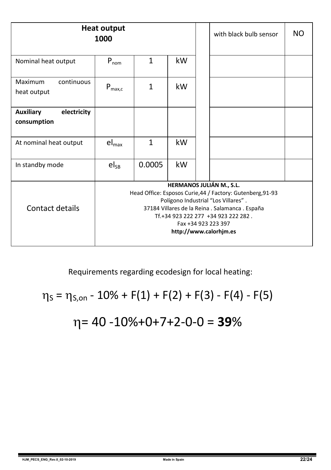|                                                | Heat output<br>1000                                                                                                                                                                                                                                                      |        |    |  | with black bulb sensor | NO. |  |
|------------------------------------------------|--------------------------------------------------------------------------------------------------------------------------------------------------------------------------------------------------------------------------------------------------------------------------|--------|----|--|------------------------|-----|--|
| Nominal heat output                            | $P_{nom}$                                                                                                                                                                                                                                                                | 1      | kW |  |                        |     |  |
| continuous<br>Maximum<br>heat output           | $P_{\text{max,c}}$                                                                                                                                                                                                                                                       | 1      | kW |  |                        |     |  |
| <b>Auxiliary</b><br>electricity<br>consumption |                                                                                                                                                                                                                                                                          |        |    |  |                        |     |  |
| At nominal heat output                         | $el_{max}$                                                                                                                                                                                                                                                               | 1      | kW |  |                        |     |  |
| In standby mode                                | $el_{SB}$                                                                                                                                                                                                                                                                | 0.0005 | kW |  |                        |     |  |
| Contact details                                | HERMANOS JULIÁN M., S.L.<br>Head Office: Esposos Curie, 44 / Factory: Gutenberg, 91-93<br>Polígono Industrial "Los Villares".<br>37184 Villares de la Reina . Salamanca . España<br>Tf.+34 923 222 277 +34 923 222 282.<br>Fax +34 923 223 397<br>http://www.calorhim.es |        |    |  |                        |     |  |

Requirements regarding ecodesign for local heating:

$$
\eta_{S} = \eta_{S,on} - 10\% + F(1) + F(2) + F(3) - F(4) - F(5)
$$

# = 40 -10%+0+7+2-0-0 = **39**%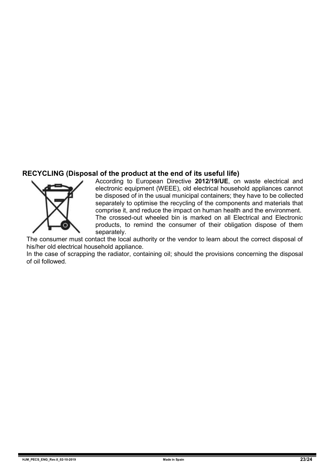#### **RECYCLING (Disposal of the product at the end of its useful life)**



According to European Directive **2012/19/UE**, on waste electrical and electronic equipment (WEEE), old electrical household appliances cannot be disposed of in the usual municipal containers; they have to be collected separately to optimise the recycling of the components and materials that comprise it, and reduce the impact on human health and the environment. The crossed-out wheeled bin is marked on all Electrical and Electronic

products, to remind the consumer of their obligation dispose of them separately.

The consumer must contact the local authority or the vendor to learn about the correct disposal of his/her old electrical household appliance.

In the case of scrapping the radiator, containing oil; should the provisions concerning the disposal of oil followed.